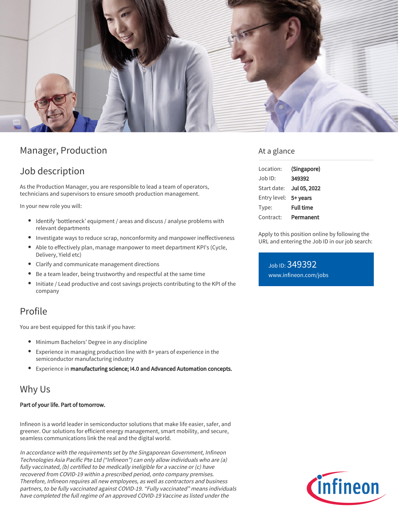

# Manager, Production

## Job description

As the Production Manager, you are responsible to lead a team of operators, technicians and supervisors to ensure smooth production management.

In your new role you will:

- Identify 'bottleneck' equipment / areas and discuss / analyse problems with relevant departments
- $\bullet$  Investigate ways to reduce scrap, nonconformity and manpower ineffectiveness
- Able to effectively plan, manage manpower to meet department KPI's (Cycle, Delivery, Yield etc)
- Clarify and communicate management directions
- Be a team leader, being trustworthy and respectful at the same time
- Initiate / Lead productive and cost savings projects contributing to the KPI of the company

## Profile

You are best equipped for this task if you have:

- Minimum Bachelors' Degree in any discipline
- Experience in managing production line with 8+ years of experience in the semiconductor manufacturing industry
- Experience in manufacturing science; I4.0 and Advanced Automation concepts.

## Why Us

#### Part of your life. Part of tomorrow.

Infineon is a world leader in semiconductor solutions that make life easier, safer, and greener. Our solutions for efficient energy management, smart mobility, and secure, seamless communications link the real and the digital world.

In accordance with the requirements set by the Singaporean Government, Infineon Technologies Asia Pacific Pte Ltd ("Infineon") can only allow individuals who are (a) fully vaccinated, (b) certified to be medically ineligible for a vaccine or (c) have recovered from COVID-19 within a prescribed period, onto company premises. Therefore, Infineon requires all new employees, as well as contractors and business partners, to be fully vaccinated against COVID-19. "Fully vaccinated" means individuals have completed the full regime of an approved COVID-19 Vaccine as listed under the

### At a glance

| Location:    | (Singapore)      |
|--------------|------------------|
| Job ID:      | 349392           |
| Start date:  | Jul 05, 2022     |
| Entry level: | 5+ years         |
| Type:        | <b>Full time</b> |
| Contract:    | Permanent        |

Apply to this position online by following the URL and entering the Job ID in our job search:

Job ID: 349392 [www.infineon.com/jobs](https://www.infineon.com/jobs)